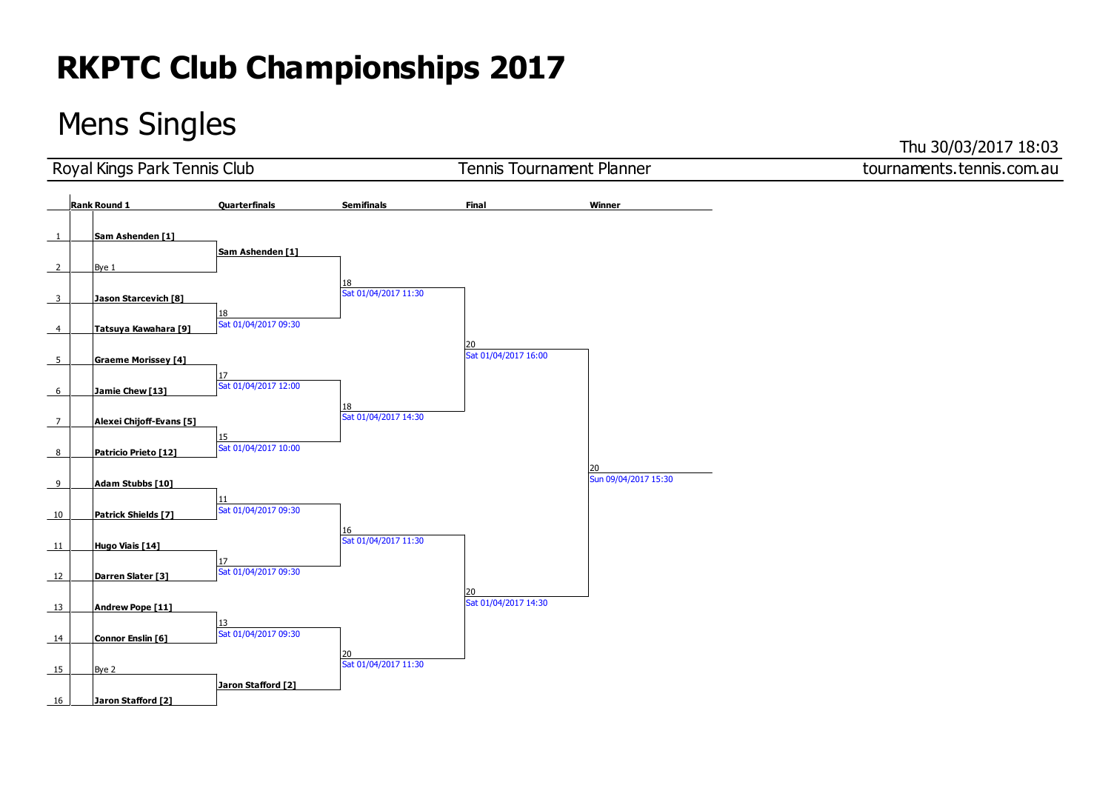### Mens Singles

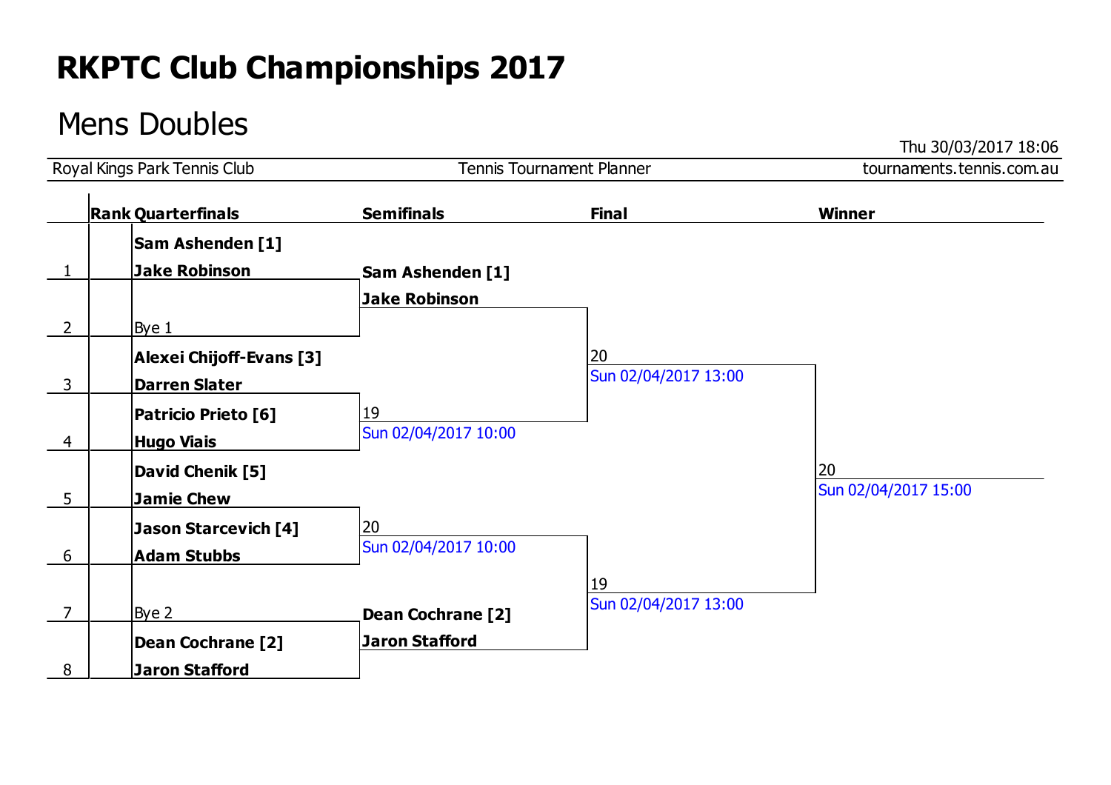### Mens Doubles

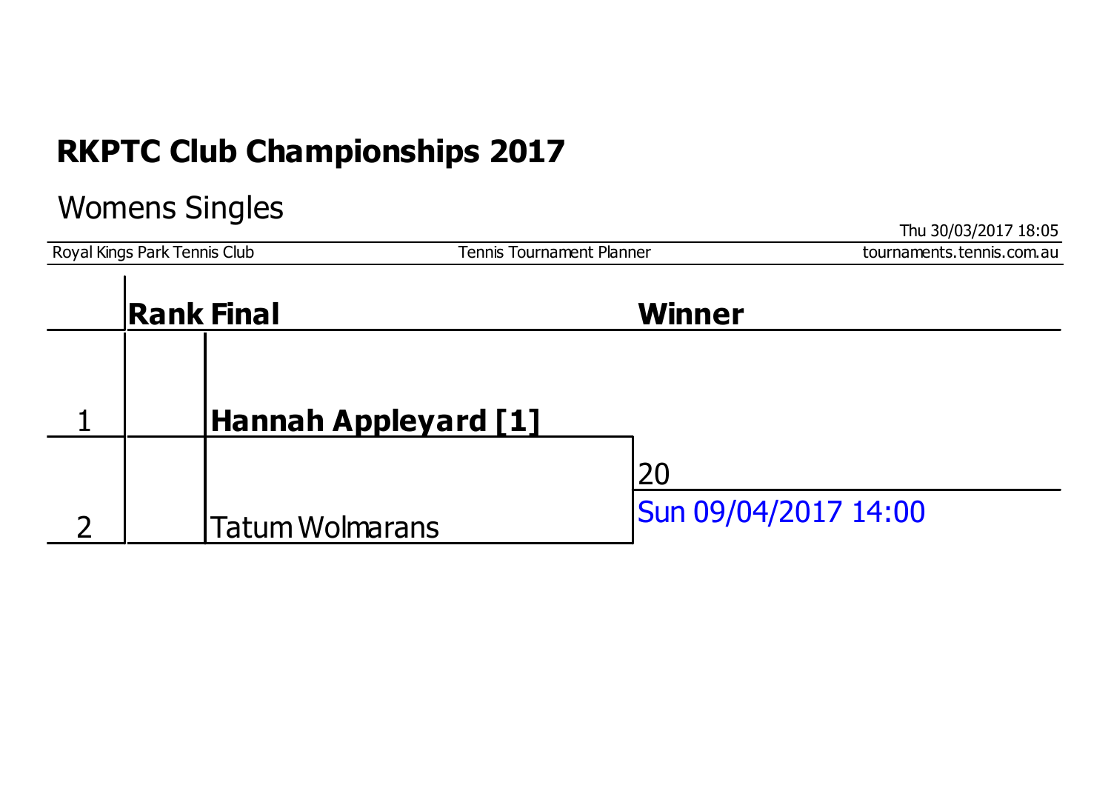#### Womens Singles

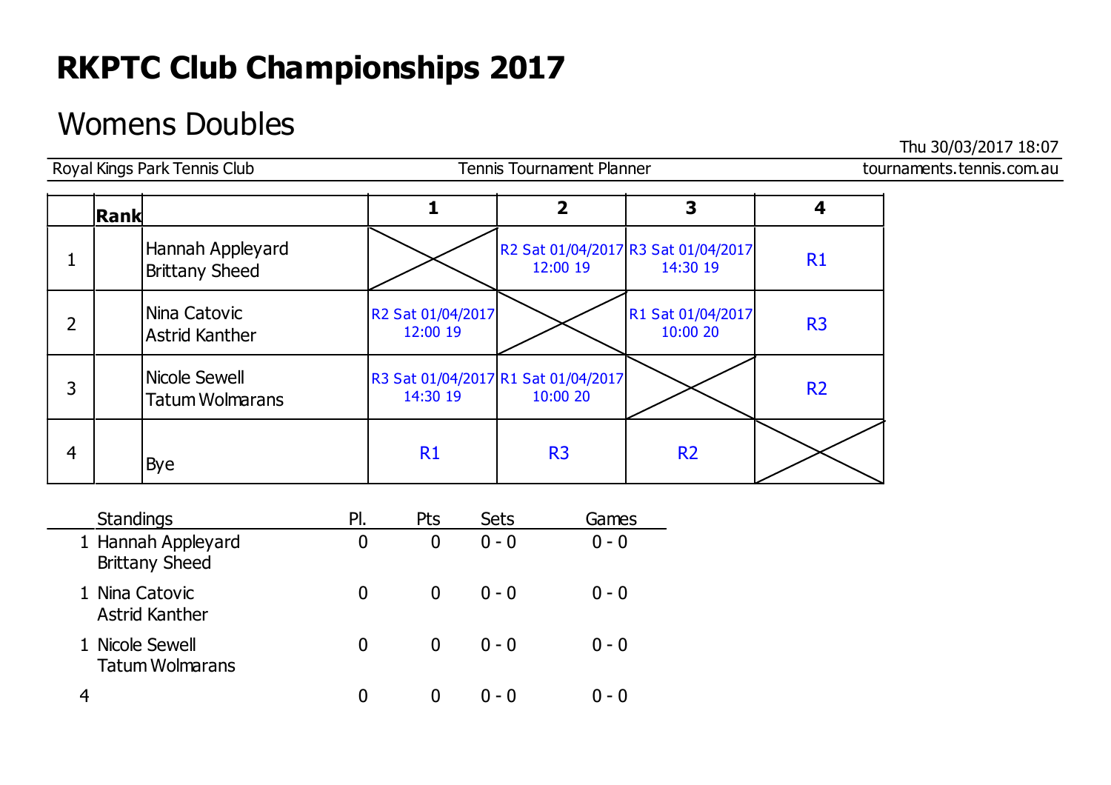### Womens Doubles

|                | Royal Kings Park Tennis Club            |                               | <b>Tennis Tournament Planner</b>                |                                                 |                | tournaments.tennis.com.au |
|----------------|-----------------------------------------|-------------------------------|-------------------------------------------------|-------------------------------------------------|----------------|---------------------------|
|                | Rank                                    |                               | 2                                               | 3                                               |                |                           |
| T              | Hannah Appleyard<br>Brittany Sheed      |                               | 12:00 19                                        | R2 Sat 01/04/2017 R3 Sat 01/04/2017<br>14:30 19 | R1             |                           |
| 2              | Nina Catovic<br>Astrid Kanther          | R2 Sat 01/04/2017<br>12:00 19 |                                                 | R1 Sat 01/04/2017<br>10:00 20                   | R <sub>3</sub> |                           |
| 3              | Nicole Sewell<br><b>Tatum Wolmarans</b> | 14:30 19                      | R3 Sat 01/04/2017 R1 Sat 01/04/2017<br>10:00 20 |                                                 | <b>R2</b>      |                           |
| $\overline{4}$ | Bye                                     | R1                            | R <sub>3</sub>                                  | <b>R2</b>                                       |                |                           |

| <b>Standings</b>                            | PI. | Pts | <b>Sets</b> | Games   |
|---------------------------------------------|-----|-----|-------------|---------|
| 1 Hannah Appleyard<br><b>Brittany Sheed</b> | 0   |     | $0 - 0$     | $0 - 0$ |
| 1 Nina Catovic<br><b>Astrid Kanther</b>     | 0   |     | $0 - 0$     | $0 - 0$ |
| 1 Nicole Sewell<br><b>Tatum Wolmarans</b>   | 0   |     | $0 - 0$     | $0 - 0$ |
|                                             | 0   |     | $(1 - 0)$   | () – () |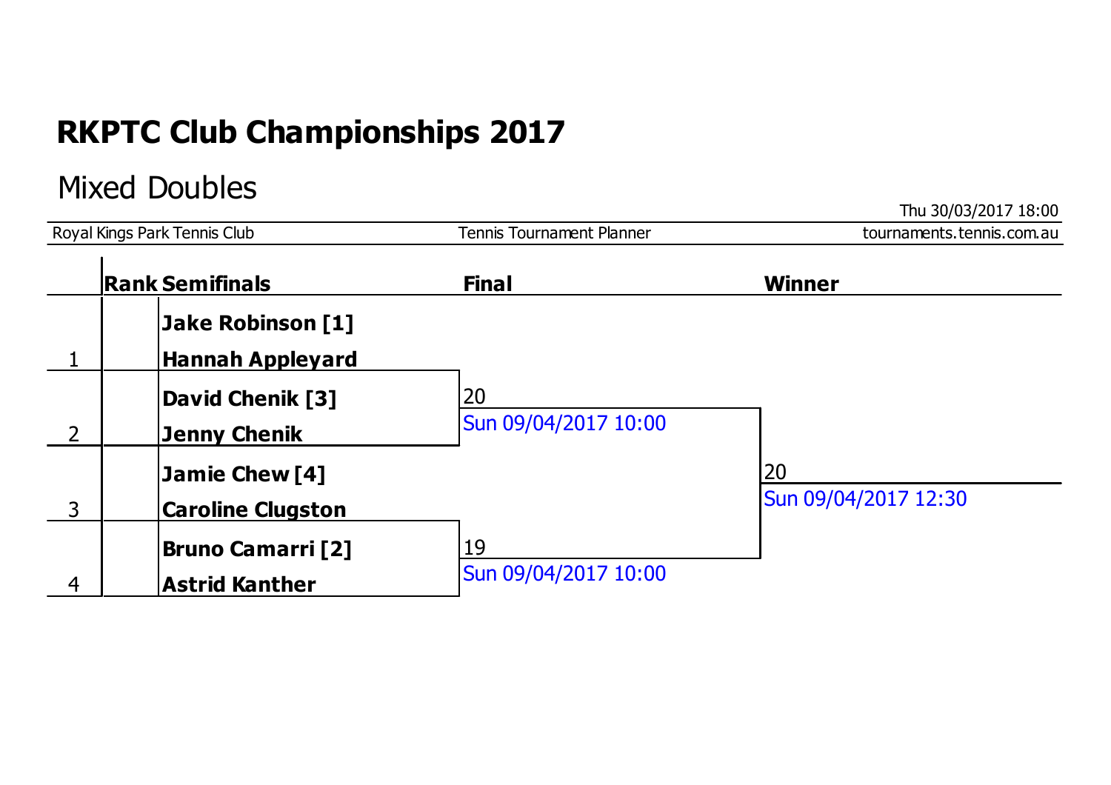### Mixed Doubles

|                              |                          |                           | Thu 30/03/2017 18:00      |  |
|------------------------------|--------------------------|---------------------------|---------------------------|--|
| Royal Kings Park Tennis Club |                          | Tennis Tournament Planner | tournaments.tennis.com.au |  |
|                              | <b>Rank Semifinals</b>   | <b>Final</b>              | Winner                    |  |
|                              | <b>Jake Robinson [1]</b> |                           |                           |  |
|                              | <b>Hannah Appleyard</b>  |                           |                           |  |
|                              | <b>David Chenik [3]</b>  | 20                        |                           |  |
| $\overline{2}$               | <b>Jenny Chenik</b>      | Sun 09/04/2017 10:00      |                           |  |
|                              | Jamie Chew [4]           |                           | 20                        |  |
| 3                            | <b>Caroline Clugston</b> |                           | Sun 09/04/2017 12:30      |  |
|                              | <b>Bruno Camarri [2]</b> | 19                        |                           |  |
| 4                            | <b>Astrid Kanther</b>    | Sun 09/04/2017 10:00      |                           |  |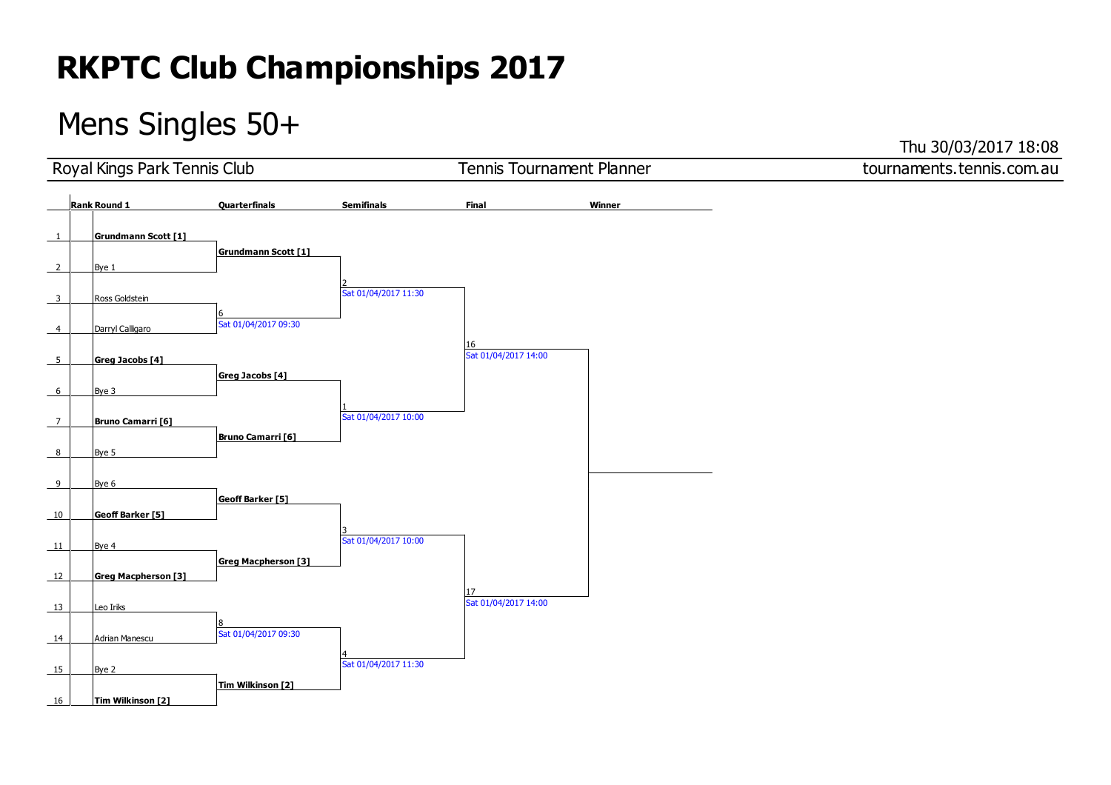### Mens Singles 50+

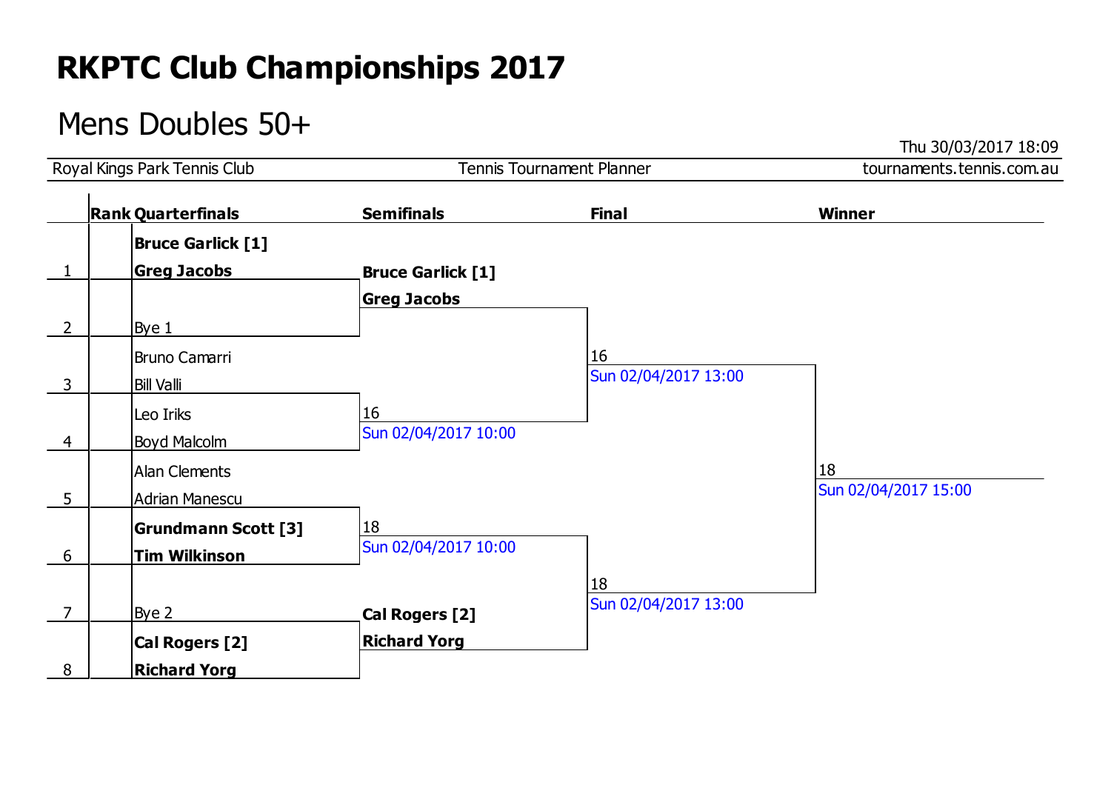### Mens Doubles 50+